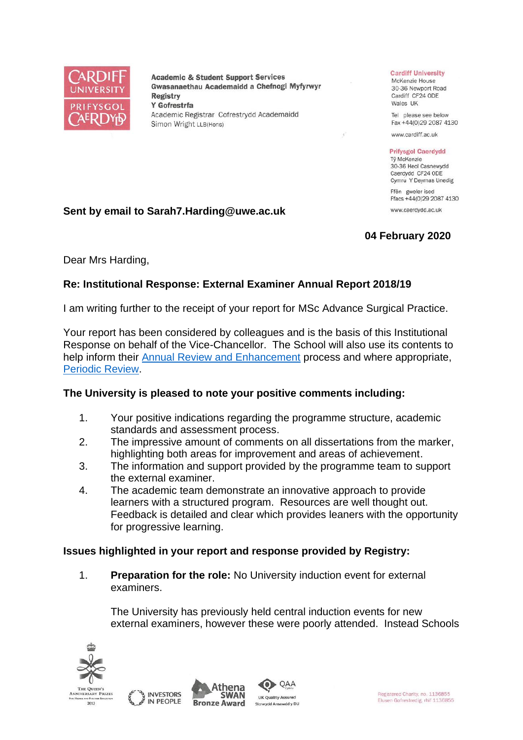

**Academic & Student Support Services** Gwasanaethau Academaidd a Chefnogi Myfyrwyr **Registry** Y Gofrestrfa Academic Registrar Cofrestrydd Academaidd Simon Wright LLB(Hons)

#### **Cardiff University**

McKenzie House 30-36 Newport Road Cardiff CF24 ODE Wales UK

Tel please see below Fax +44(0)29 2087 4130

www.cardiff.ac.uk

#### **Prifysgol Caerdydd**

Tỷ McKenzie 30-36 Heol Casnewydd Caerdydd CF24 ODE Cymru Y Deyrnas Unedig

Ffôn gweler isod Ffacs +44(0)29 2087 4130 www.caerdydd.ac.uk

# **Sent by email to Sarah7.Harding@uwe.ac.uk**

# **04 February 2020**

Dear Mrs Harding,

# **Re: Institutional Response: External Examiner Annual Report 2018/19**

I am writing further to the receipt of your report for MSc Advance Surgical Practice.

Your report has been considered by colleagues and is the basis of this Institutional Response on behalf of the Vice-Chancellor. The School will also use its contents to help inform their [Annual Review and Enhancement](https://www.cardiff.ac.uk/public-information/quality-and-standards/monitoring-and-review/annual-review-and-enhancement) process and where appropriate, [Periodic Review.](http://www.cardiff.ac.uk/public-information/quality-and-standards/monitoring-and-review/periodic-review)

# **The University is pleased to note your positive comments including:**

- 1. Your positive indications regarding the programme structure, academic standards and assessment process.
- 2. The impressive amount of comments on all dissertations from the marker, highlighting both areas for improvement and areas of achievement.
- 3. The information and support provided by the programme team to support the external examiner.
- 4. The academic team demonstrate an innovative approach to provide learners with a structured program. Resources are well thought out. Feedback is detailed and clear which provides leaners with the opportunity for progressive learning.

# **Issues highlighted in your report and response provided by Registry:**

1. **Preparation for the role:** No University induction event for external examiners.

The University has previously held central induction events for new external examiners, however these were poorly attended. Instead Schools